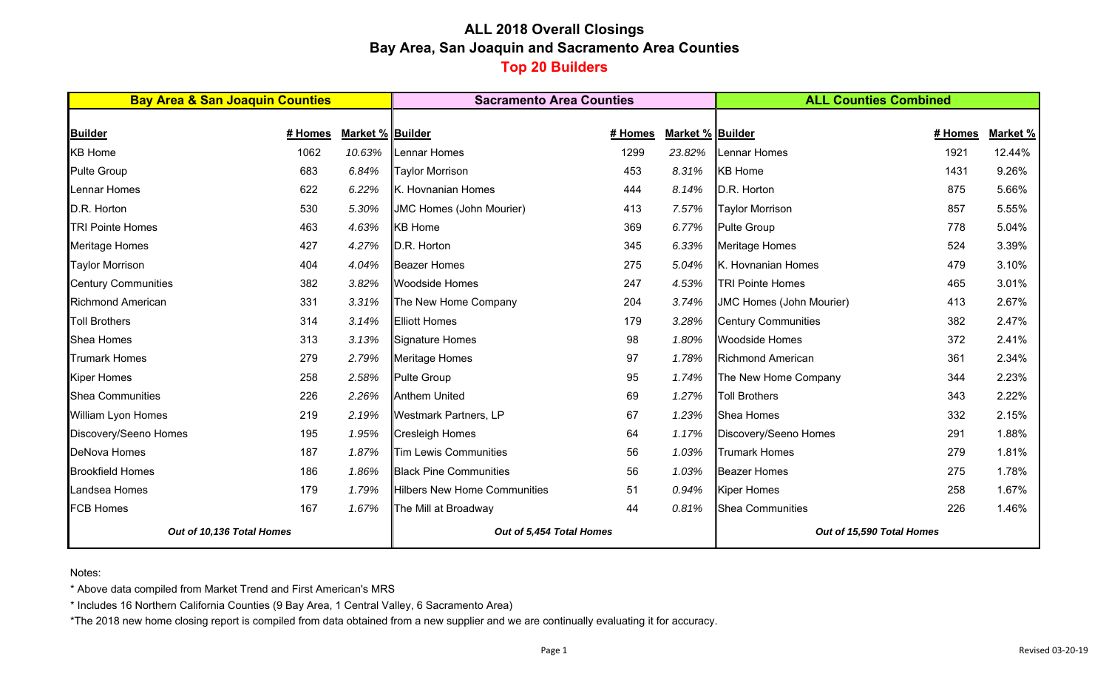# **ALL 2018 Overall Closings Bay Area, San Joaquin and Sacramento Area Counties Top 20 Builders**

| <b>Bay Area &amp; San Joaquin Counties</b> |         |                  | <b>Sacramento Area Counties</b>     |         |                  | <b>ALL Counties Combined</b>    |         |          |  |
|--------------------------------------------|---------|------------------|-------------------------------------|---------|------------------|---------------------------------|---------|----------|--|
|                                            |         |                  |                                     |         |                  |                                 |         |          |  |
| <b>Builder</b>                             | # Homes | Market % Builder |                                     | # Homes | Market % Builder |                                 | # Homes | Market % |  |
| <b>KB Home</b>                             | 1062    | 10.63%           | ennar Homes                         | 1299    | 23.82%           | Lennar Homes                    | 1921    | 12.44%   |  |
| <b>Pulte Group</b>                         | 683     | 6.84%            | <b>Taylor Morrison</b>              | 453     | 8.31%            | <b>KB</b> Home                  | 1431    | 9.26%    |  |
| Lennar Homes                               | 622     | 6.22%            | K. Hovnanian Homes                  | 444     | 8.14%            | D.R. Horton                     | 875     | 5.66%    |  |
| D.R. Horton                                | 530     | 5.30%            | <b>JMC Homes (John Mourier)</b>     | 413     | 7.57%            | <b>Taylor Morrison</b>          | 857     | 5.55%    |  |
| <b>TRI Pointe Homes</b>                    | 463     | 4.63%            | <b>KB</b> Home                      | 369     | 6.77%            | <b>Pulte Group</b>              | 778     | 5.04%    |  |
| <b>Meritage Homes</b>                      | 427     | 4.27%            | D.R. Horton                         | 345     | 6.33%            | Meritage Homes                  | 524     | 3.39%    |  |
| <b>Taylor Morrison</b>                     | 404     | 4.04%            | <b>Beazer Homes</b>                 | 275     | 5.04%            | K. Hovnanian Homes              | 479     | 3.10%    |  |
| <b>Century Communities</b>                 | 382     | 3.82%            | <b>Woodside Homes</b>               | 247     | 4.53%            | <b>TRI Pointe Homes</b>         | 465     | 3.01%    |  |
| <b>Richmond American</b>                   | 331     | 3.31%            | The New Home Company                | 204     | 3.74%            | <b>JMC Homes (John Mourier)</b> | 413     | 2.67%    |  |
| <b>Toll Brothers</b>                       | 314     | 3.14%            | <b>Elliott Homes</b>                | 179     | 3.28%            | Century Communities             | 382     | 2.47%    |  |
| <b>Shea Homes</b>                          | 313     | 3.13%            | Signature Homes                     | 98      | 1.80%            | <b>Woodside Homes</b>           | 372     | 2.41%    |  |
| <b>Trumark Homes</b>                       | 279     | 2.79%            | Meritage Homes                      | 97      | 1.78%            | Richmond American               | 361     | 2.34%    |  |
| <b>Kiper Homes</b>                         | 258     | 2.58%            | Pulte Group                         | 95      | 1.74%            | The New Home Company            | 344     | 2.23%    |  |
| <b>Shea Communities</b>                    | 226     | 2.26%            | <b>Anthem United</b>                | 69      | 1.27%            | <b>Toll Brothers</b>            | 343     | 2.22%    |  |
| William Lyon Homes                         | 219     | 2.19%            | <b>Westmark Partners, LP</b>        | 67      | 1.23%            | Shea Homes                      | 332     | 2.15%    |  |
| Discovery/Seeno Homes                      | 195     | 1.95%            | <b>Cresleigh Homes</b>              | 64      | 1.17%            | Discovery/Seeno Homes           | 291     | 1.88%    |  |
| <b>DeNova Homes</b>                        | 187     | 1.87%            | <b>Tim Lewis Communities</b>        | 56      | 1.03%            | <b>Trumark Homes</b>            | 279     | 1.81%    |  |
| <b>Brookfield Homes</b>                    | 186     | 1.86%            | <b>Black Pine Communities</b>       | 56      | 1.03%            | <b>Beazer Homes</b>             | 275     | 1.78%    |  |
| Landsea Homes                              | 179     | 1.79%            | <b>Hilbers New Home Communities</b> | 51      | 0.94%            | <b>Kiper Homes</b>              | 258     | 1.67%    |  |
| <b>FCB Homes</b>                           | 167     | 1.67%            | The Mill at Broadway                | 44      | 0.81%            | Shea Communities                | 226     | 1.46%    |  |
| Out of 10,136 Total Homes                  |         |                  | Out of 5,454 Total Homes            |         |                  | Out of 15,590 Total Homes       |         |          |  |

Notes:

\* Above data compiled from Market Trend and First American's MRS

\* Includes 16 Northern California Counties (9 Bay Area, 1 Central Valley, 6 Sacramento Area)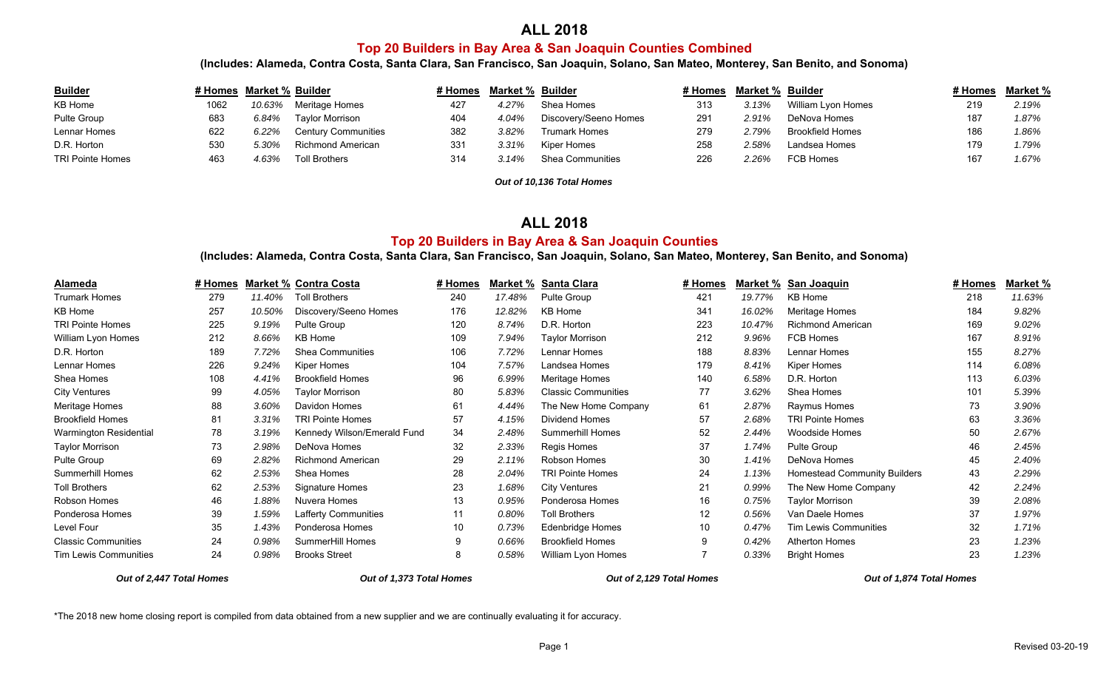## **ALL 2018**

#### **Top 20 Builders in Bay Area & San Joaquin Counties Combined**

**(Includes: Alameda, Contra Costa, Santa Clara, San Francisco, San Joaquin, Solano, San Mateo, Monterey, San Benito, and Sonoma)**

| <b>Builder</b>   | # Homes Market % Builder |        |                            | <i>∔</i> Homes | Market % Builder |                         | # Homes | <b>Market % Builder</b> |                         | # Homes | <u>Market %</u> |
|------------------|--------------------------|--------|----------------------------|----------------|------------------|-------------------------|---------|-------------------------|-------------------------|---------|-----------------|
| KB Home          | 1062                     | 10.63% | Meritage Homes             | 427            | 4.27%            | Shea Homes              | 313     | 3.13%                   | William Lyon Homes      | 219     | 2.19%           |
| Pulte Group      | 683                      | 6.84%  | <b>Tavlor Morrison</b>     | 404            | 4.04%            | Discovery/Seeno Homes   | 291     | 2.91%                   | DeNova Homes            | 187     | 1.87%           |
| Lennar Homes     | 622                      | 6.22%  | <b>Century Communities</b> | 382            | $3.82\%$         | <b>Trumark Homes</b>    | 279     | 2.79%                   | <b>Brookfield Homes</b> | 186     | 1.86%           |
| D.R. Horton      | 530                      | 5.30%  | Richmond American          | 331            | 3.31%            | Kiper Homes             | 258     | 2.58%                   | Landsea Homes           |         | 1.79%           |
| TRI Pointe Homes | 463                      | 4.63%  | <b>Toll Brothers</b>       | 314            | 3.14%            | <b>Shea Communities</b> | 226     | $2.26\%$                | FCB Homes               | 167     | 1.67%           |

*Out of 10,136 Total Homes*

#### **ALL 2018**

#### **Top 20 Builders in Bay Area & San Joaquin Counties**

**(Includes: Alameda, Contra Costa, Santa Clara, San Francisco, San Joaquin, Solano, San Mateo, Monterey, San Benito, and Sonoma)**

| Alameda                      | # Homes |        | <b>Market % Contra Costa</b> | # Homes         | Market % | Santa Clara                | # Homes | Market % | San Joaquin                         | # Homes | Market % |
|------------------------------|---------|--------|------------------------------|-----------------|----------|----------------------------|---------|----------|-------------------------------------|---------|----------|
| <b>Trumark Homes</b>         | 279     | 11.40% | <b>Toll Brothers</b>         | 240             | 17.48%   | Pulte Group                | 421     | 19.77%   | KB Home                             | 218     | 11.63%   |
| KB Home                      | 257     | 10.50% | Discovery/Seeno Homes        | 176             | 12.82%   | KB Home                    | 341     | 16.02%   | <b>Meritage Homes</b>               | 184     | 9.82%    |
| <b>TRI Pointe Homes</b>      | 225     | 9.19%  | <b>Pulte Group</b>           | 120             | 8.74%    | D.R. Horton                | 223     | 10.47%   | <b>Richmond American</b>            | 169     | 9.02%    |
| William Lyon Homes           | 212     | 8.66%  | <b>KB Home</b>               | 109             | 7.94%    | <b>Taylor Morrison</b>     | 212     | 9.96%    | FCB Homes                           | 167     | 8.91%    |
| D.R. Horton                  | 189     | 7.72%  | <b>Shea Communities</b>      | 106             | 7.72%    | Lennar Homes               | 188     | 8.83%    | Lennar Homes                        | 155     | 8.27%    |
| Lennar Homes                 | 226     | 9.24%  | Kiper Homes                  | 104             | 7.57%    | Landsea Homes              | 179     | 8.41%    | Kiper Homes                         | 114     | 6.08%    |
| Shea Homes                   | 108     | 4.41%  | <b>Brookfield Homes</b>      | 96              | 6.99%    | Meritage Homes             | 140     | 6.58%    | D.R. Horton                         | 113     | 6.03%    |
| <b>City Ventures</b>         | 99      | 4.05%  | Taylor Morrison              | 80              | 5.83%    | <b>Classic Communities</b> | 77      | 3.62%    | Shea Homes                          | 101     | 5.39%    |
| Meritage Homes               | 88      | 3.60%  | Davidon Homes                | 61              | 4.44%    | The New Home Company       | 61      | 2.87%    | Raymus Homes                        | 73      | 3.90%    |
| <b>Brookfield Homes</b>      | 81      | 3.31%  | <b>TRI Pointe Homes</b>      | 57              | 4.15%    | Dividend Homes             | 57      | 2.68%    | <b>TRI Pointe Homes</b>             | 63      | 3.36%    |
| Warmington Residential       | 78      | 3.19%  | Kennedy Wilson/Emerald Fund  | 34              | 2.48%    | <b>Summerhill Homes</b>    | 52      | 2.44%    | <b>Woodside Homes</b>               | 50      | 2.67%    |
| <b>Taylor Morrison</b>       | 73      | 2.98%  | DeNova Homes                 | 32              | 2.33%    | Regis Homes                | 37      | 1.74%    | Pulte Group                         | 46      | 2.45%    |
| Pulte Group                  | 69      | 2.82%  | <b>Richmond American</b>     | 29              | 2.11%    | Robson Homes               | 30      | 1.41%    | DeNova Homes                        | 45      | 2.40%    |
| <b>Summerhill Homes</b>      | 62      | 2.53%  | Shea Homes                   | 28              | 2.04%    | TRI Pointe Homes           | 24      | 1.13%    | <b>Homestead Community Builders</b> | 43      | 2.29%    |
| <b>Toll Brothers</b>         | 62      | 2.53%  | Signature Homes              | 23              | 1.68%    | <b>City Ventures</b>       | 21      | 0.99%    | The New Home Company                | 42      | 2.24%    |
| Robson Homes                 | 46      | 1.88%  | Nuvera Homes                 | 13              | 0.95%    | Ponderosa Homes            | 16      | 0.75%    | <b>Taylor Morrison</b>              | 39      | 2.08%    |
| Ponderosa Homes              | 39      | 1.59%  | Lafferty Communities         | 11              | 0.80%    | <b>Toll Brothers</b>       | 12      | 0.56%    | Van Daele Homes                     | 37      | 1.97%    |
| Level Four                   | 35      | 1.43%  | Ponderosa Homes              | 10 <sup>°</sup> | 0.73%    | Edenbridge Homes           | 10      | 0.47%    | <b>Tim Lewis Communities</b>        | 32      | 1.71%    |
| <b>Classic Communities</b>   | 24      | 0.98%  | SummerHill Homes             | 9               | 0.66%    | <b>Brookfield Homes</b>    | 9       | 0.42%    | <b>Atherton Homes</b>               | 23      | 1.23%    |
| <b>Tim Lewis Communities</b> | 24      | 0.98%  | <b>Brooks Street</b>         | 8               | 0.58%    | William Lyon Homes         |         | 0.33%    | <b>Bright Homes</b>                 | 23      | 1.23%    |

*Out of 2,447 Total Homes Out of 1,373 Total Homes Out of 2,129 Total Homes Out of 1,874 Total Homes*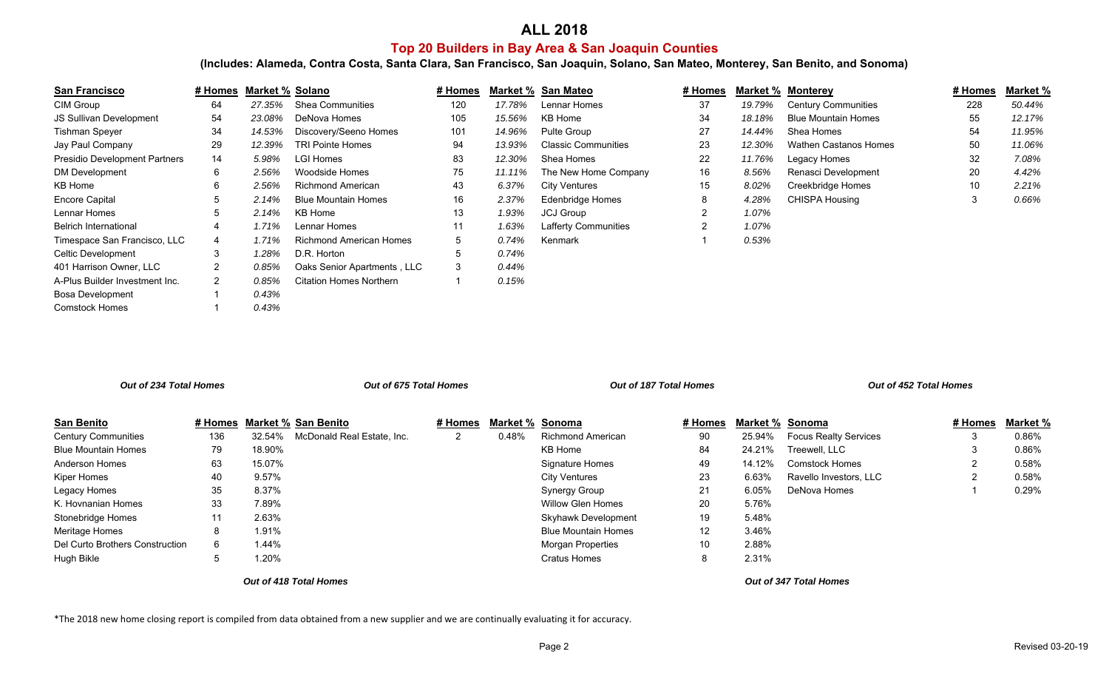## **ALL 2018 Top 20 Builders in Bay Area & San Joaquin Counties**

**(Includes: Alameda, Contra Costa, Santa Clara, San Francisco, San Joaquin, Solano, San Mateo, Monterey, San Benito, and Sonoma)**

| <b>San Francisco</b>                 | # Homes      | Market % Solano |                                | # Homes |        | Market % San Mateo         | # Homes        | Market % | <u>Monterey</u>              | # Homes | Market % |
|--------------------------------------|--------------|-----------------|--------------------------------|---------|--------|----------------------------|----------------|----------|------------------------------|---------|----------|
| CIM Group                            | 64           | 27.35%          | <b>Shea Communities</b>        | 120     | 17.78% | Lennar Homes               | 37             | 19.79%   | <b>Century Communities</b>   | 228     | 50.44%   |
| <b>JS Sullivan Development</b>       | 54           | 23.08%          | DeNova Homes                   | 105     | 15.56% | KB Home                    | 34             | 18.18%   | <b>Blue Mountain Homes</b>   | 55      | 12.17%   |
| Tishman Speyer                       | 34           | 14.53%          | Discovery/Seeno Homes          | 101     | 14.96% | Pulte Group                | 27             | 14.44%   | Shea Homes                   | 54      | 11.95%   |
| Jay Paul Company                     | 29           | 12.39%          | <b>TRI Pointe Homes</b>        | 94      | 13.93% | <b>Classic Communities</b> | 23             | 12.30%   | <b>Wathen Castanos Homes</b> | 50      | 11.06%   |
| <b>Presidio Development Partners</b> | 14           | 5.98%           | LGI Homes                      | 83      | 12.30% | Shea Homes                 | 22             | 11.76%   | Legacy Homes                 | 32      | 7.08%    |
| <b>DM Development</b>                | 6            | 2.56%           | Woodside Homes                 | 75      | 11.11% | The New Home Company       | 16             | 8.56%    | Renasci Development          | 20      | 4.42%    |
| KB Home                              | 6            | 2.56%           | <b>Richmond American</b>       | 43      | 6.37%  | City Ventures              | 15             | 8.02%    | Creekbridge Homes            | 10      | 2.21%    |
| <b>Encore Capital</b>                | $5^{\circ}$  | 2.14%           | <b>Blue Mountain Homes</b>     | 16      | 2.37%  | Edenbridge Homes           | 8              | 4.28%    | <b>CHISPA Housing</b>        | 3       | 0.66%    |
| Lennar Homes                         | 5            | 2.14%           | KB Home                        | 13      | 1.93%  | <b>JCJ Group</b>           | $\overline{2}$ | 1.07%    |                              |         |          |
| <b>Belrich International</b>         | 4            | 1.71%           | Lennar Homes                   | 11      | 1.63%  | Lafferty Communities       | $\overline{2}$ | 1.07%    |                              |         |          |
| Timespace San Francisco, LLC         | 4            | 1.71%           | <b>Richmond American Homes</b> | 5       | 0.74%  | Kenmark                    |                | 0.53%    |                              |         |          |
| Celtic Development                   | 3            | 1.28%           | D.R. Horton                    | 5       | 0.74%  |                            |                |          |                              |         |          |
| 401 Harrison Owner, LLC              | 2            | 0.85%           | Oaks Senior Apartments, LLC    | 3       | 0.44%  |                            |                |          |                              |         |          |
| A-Plus Builder Investment Inc.       | $\mathbf{2}$ | 0.85%           | <b>Citation Homes Northern</b> |         | 0.15%  |                            |                |          |                              |         |          |
| <b>Bosa Development</b>              |              | 0.43%           |                                |         |        |                            |                |          |                              |         |          |
| <b>Comstock Homes</b>                |              | 0.43%           |                                |         |        |                            |                |          |                              |         |          |

| Out of 234 Total Homes          |         | Out of 675 Total Homes |                            |              |                        | Out of 187 Total Homes     |                   |                        | Out of 452 Total Homes       |         |          |
|---------------------------------|---------|------------------------|----------------------------|--------------|------------------------|----------------------------|-------------------|------------------------|------------------------------|---------|----------|
| <b>San Benito</b>               | # Homes |                        | <b>Market % San Benito</b> | # Homes      | <b>Market % Sonoma</b> |                            | # Homes           | <b>Market % Sonoma</b> |                              | # Homes | Market % |
| <b>Century Communities</b>      | 136     | 32.54%                 | McDonald Real Estate, Inc. | $\mathbf{2}$ | 0.48%                  | <b>Richmond American</b>   | 90                | 25.94%                 | <b>Focus Realty Services</b> |         | 0.86%    |
| <b>Blue Mountain Homes</b>      | 79      | 18.90%                 |                            |              |                        | KB Home                    | 84                | 24.21%                 | Treewell, LLC                |         | 0.86%    |
| <b>Anderson Homes</b>           | 63      | 15.07%                 |                            |              |                        | Signature Homes            | 49                | 14.12%                 | <b>Comstock Homes</b>        |         | 0.58%    |
| Kiper Homes                     | 40      | 9.57%                  |                            |              |                        | <b>City Ventures</b>       | 23                | 6.63%                  | Ravello Investors, LLC       |         | 0.58%    |
| Legacy Homes                    | 35      | 8.37%                  |                            |              |                        | Synergy Group              | 21                | 6.05%                  | DeNova Homes                 |         | 0.29%    |
| K. Hovnanian Homes              | 33      | 7.89%                  |                            |              |                        | <b>Willow Glen Homes</b>   | 20                | 5.76%                  |                              |         |          |
| Stonebridge Homes               | 11      | 2.63%                  |                            |              |                        | <b>Skyhawk Development</b> | 19                | 5.48%                  |                              |         |          |
| Meritage Homes                  | 8       | 1.91%                  |                            |              |                        | <b>Blue Mountain Homes</b> | $12 \overline{ }$ | 3.46%                  |                              |         |          |
| Del Curto Brothers Construction | 6       | 1.44%                  |                            |              |                        | <b>Morgan Properties</b>   | 10                | 2.88%                  |                              |         |          |
| Hugh Bikle                      | 5       | 1.20%                  |                            |              |                        | <b>Cratus Homes</b>        | 8                 | 2.31%                  |                              |         |          |
|                                 |         |                        | Out of 418 Total Homes     |              |                        |                            |                   |                        | Out of 347 Total Homes       |         |          |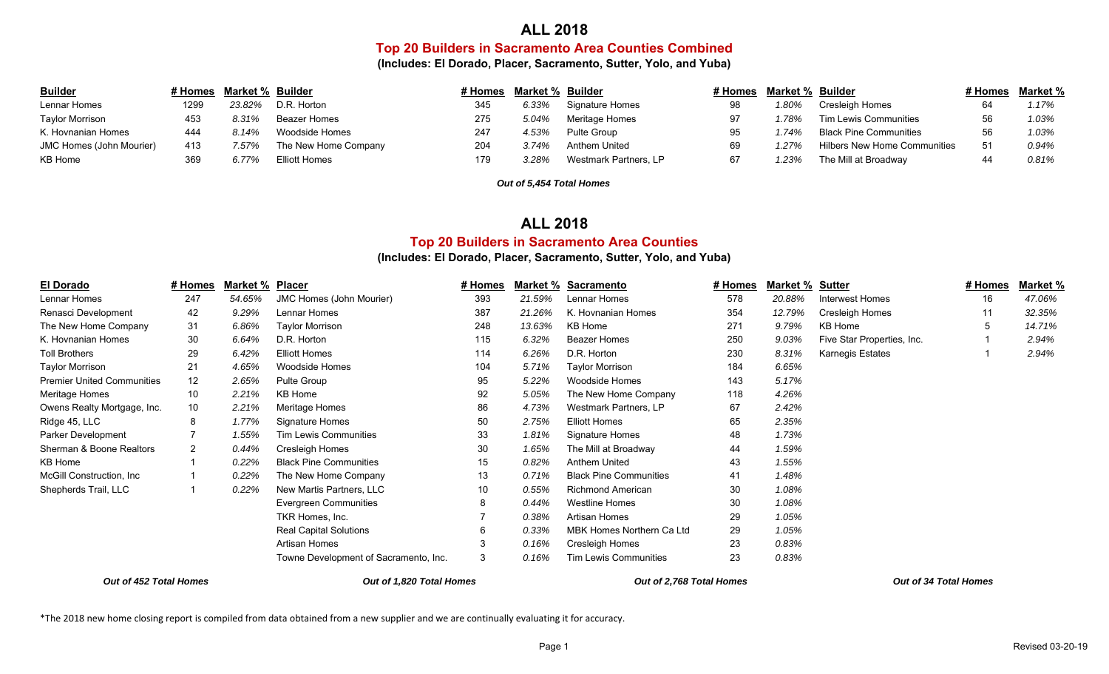## **ALL 2018**

## **Top 20 Builders in Sacramento Area Counties Combined**

**(Includes: El Dorado, Placer, Sacramento, Sutter, Yolo, and Yuba)**

| <b>Builder</b>           |      | # Homes Market % Builder |                      | # Homes | <b>Market % Builder</b> |                       | # Homes | Market % Builder |                                     |     | # Homes Market % |
|--------------------------|------|--------------------------|----------------------|---------|-------------------------|-----------------------|---------|------------------|-------------------------------------|-----|------------------|
| Lennar Homes             | 1299 | 23.82%                   | D.R. Horton          | 345     | 6.33%                   | Signature Homes       | 98      | 1.80%            | Cresleigh Homes                     |     | 1.17%            |
| Taylor Morrison          | 453  | 8.31%                    | Beazer Homes         | 275     | 5.04%                   | Meritage Homes        | 97      | .78%             | <b>Tim Lewis Communities</b>        |     | 1.03%            |
| K. Hovnanian Homes       | 444  | 8.14%                    | Woodside Homes       | 247     | 4.53%                   | Pulte Group           | 95      | 1.74%            | <b>Black Pine Communities</b>       |     | 1.03%            |
| JMC Homes (John Mourier) |      | 7.57%                    | The New Home Company | 204     | 3.74%                   | Anthem United         | 69      | 1.27%            | <b>Hilbers New Home Communities</b> | -51 | 0.94%            |
| KB Home                  | 369  | 6.77%                    | Elliott Homes        | 179     | 3.28%                   | Westmark Partners, LP | 67      | 23%              | The Mill at Broadway                |     | 0.81%            |

*Out of 5,454 Total Homes*

## **ALL 2018**

## **Top 20 Builders in Sacramento Area Counties**

#### **(Includes: El Dorado, Placer, Sacramento, Sutter, Yolo, and Yuba)**

| El Dorado                                          | # Homes | Market % | <b>Placer</b>                         | # Homes               | Market % | <b>Sacramento</b>             | # Homes | Market % | <u>Sutter</u>              | <u># Homes</u> | <b>Market %</b> |
|----------------------------------------------------|---------|----------|---------------------------------------|-----------------------|----------|-------------------------------|---------|----------|----------------------------|----------------|-----------------|
| Lennar Homes                                       | 247     | 54.65%   | <b>JMC Homes (John Mourier)</b>       | 393                   | 21.59%   | Lennar Homes                  | 578     | 20.88%   | Interwest Homes            | 16             | 47.06%          |
| Renasci Development                                | 42      | 9.29%    | Lennar Homes                          | 387                   | 21.26%   | K. Hovnanian Homes            | 354     | 12.79%   | Cresleigh Homes            |                | 32.35%          |
| The New Home Company                               | 31      | 6.86%    | <b>Taylor Morrison</b>                | 248                   | 13.63%   | KB Home                       | 271     | 9.79%    | KB Home                    |                | 14.71%          |
| K. Hovnanian Homes                                 | 30      | 6.64%    | D.R. Horton                           | 115                   | 6.32%    | <b>Beazer Homes</b>           | 250     | 9.03%    | Five Star Properties, Inc. |                | 2.94%           |
| <b>Toll Brothers</b>                               | 29      | 6.42%    | <b>Elliott Homes</b>                  | 114                   | 6.26%    | D.R. Horton                   | 230     | 8.31%    | <b>Karnegis Estates</b>    |                | 2.94%           |
| <b>Taylor Morrison</b>                             | 21      | 4.65%    | <b>Woodside Homes</b>                 | 104                   | 5.71%    | <b>Taylor Morrison</b>        | 184     | 6.65%    |                            |                |                 |
| <b>Premier United Communities</b>                  | 12      | 2.65%    | Pulte Group                           | 95                    | 5.22%    | Woodside Homes                | 143     | 5.17%    |                            |                |                 |
| Meritage Homes                                     | 10      | 2.21%    | KB Home                               | 92                    | 5.05%    | The New Home Company          | 118     | 4.26%    |                            |                |                 |
| Owens Realty Mortgage, Inc.                        | 10      | 2.21%    | Meritage Homes                        | 86                    | 4.73%    | <b>Westmark Partners, LP</b>  | 67      | 2.42%    |                            |                |                 |
| Ridge 45, LLC                                      | 8       | 1.77%    | Signature Homes                       | 50                    | 2.75%    | <b>Elliott Homes</b>          | 65      | 2.35%    |                            |                |                 |
| Parker Development                                 |         | 1.55%    | <b>Tim Lewis Communities</b>          | 33                    | 1.81%    | <b>Signature Homes</b>        | 48      | 1.73%    |                            |                |                 |
| Sherman & Boone Realtors                           | 2       | 0.44%    | Cresleigh Homes                       | 30                    | 1.65%    | The Mill at Broadway          | 44      | 1.59%    |                            |                |                 |
| KB Home                                            |         | 0.22%    | <b>Black Pine Communities</b>         | 15                    | 0.82%    | Anthem United                 | 43      | 1.55%    |                            |                |                 |
| McGill Construction. Inc.                          |         | 0.22%    | The New Home Company                  | 13                    | 0.71%    | <b>Black Pine Communities</b> | 41      | 1.48%    |                            |                |                 |
| Shepherds Trail, LLC                               |         | 0.22%    | New Martis Partners, LLC              | 10                    | 0.55%    | <b>Richmond American</b>      | 30      | 1.08%    |                            |                |                 |
|                                                    |         |          | <b>Evergreen Communities</b>          | 8                     | 0.44%    | <b>Westline Homes</b>         | 30      | 1.08%    |                            |                |                 |
|                                                    |         |          | TKR Homes, Inc.                       |                       | 0.38%    | Artisan Homes                 | 29      | 1.05%    |                            |                |                 |
|                                                    |         |          | <b>Real Capital Solutions</b>         | 6                     | 0.33%    | MBK Homes Northern Ca Ltd     | 29      | 1.05%    |                            |                |                 |
|                                                    |         |          | Artisan Homes                         | 3                     | 0.16%    | Cresleigh Homes               | 23      | 0.83%    |                            |                |                 |
|                                                    |         |          | Towne Development of Sacramento, Inc. | 3                     | 0.16%    | <b>Tim Lewis Communities</b>  | 23      | 0.83%    |                            |                |                 |
| Out of 452 Total Homes<br>Out of 1.820 Total Homes |         |          | Out of 2.768 Total Homes              | Out of 34 Total Homes |          |                               |         |          |                            |                |                 |